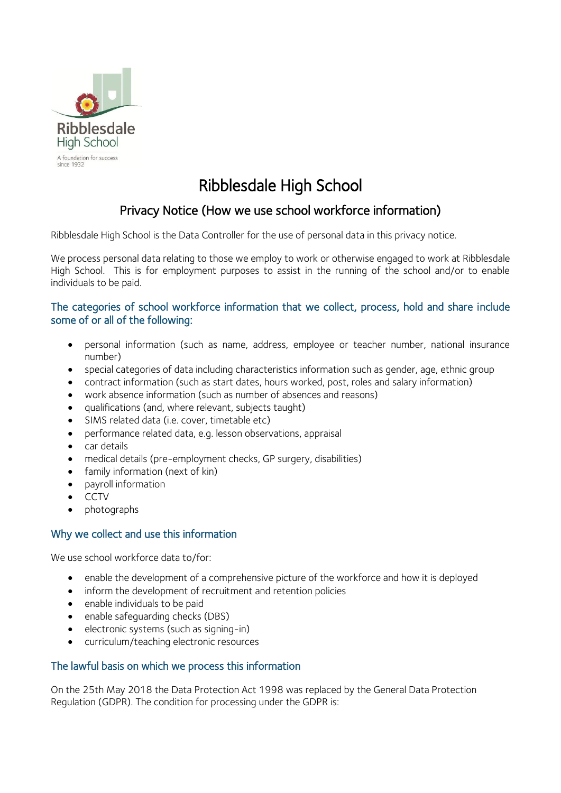

# Ribblesdale High School

# Privacy Notice (How we use school workforce information)

Ribblesdale High School is the Data Controller for the use of personal data in this privacy notice.

We process personal data relating to those we employ to work or otherwise engaged to work at Ribblesdale High School. This is for employment purposes to assist in the running of the school and/or to enable individuals to be paid.

# The categories of school workforce information that we collect, process, hold and share include some of or all of the following:

- personal information (such as name, address, employee or teacher number, national insurance number)
- special categories of data including characteristics information such as gender, age, ethnic group
- contract information (such as start dates, hours worked, post, roles and salary information)
- work absence information (such as number of absences and reasons)
- qualifications (and, where relevant, subjects taught)
- SIMS related data (i.e. cover, timetable etc)
- performance related data, e.g. lesson observations, appraisal
- car details
- medical details (pre-employment checks, GP surgery, disabilities)
- family information (next of kin)
- payroll information
- CCTV
- photographs

# Why we collect and use this information

We use school workforce data to/for:

- enable the development of a comprehensive picture of the workforce and how it is deployed
- inform the development of recruitment and retention policies
- enable individuals to be paid
- enable safeguarding checks (DBS)
- electronic systems (such as signing-in)
- curriculum/teaching electronic resources

# The lawful basis on which we process this information

On the 25th May 2018 the Data Protection Act 1998 was replaced by the General Data Protection Regulation (GDPR). The condition for processing under the GDPR is: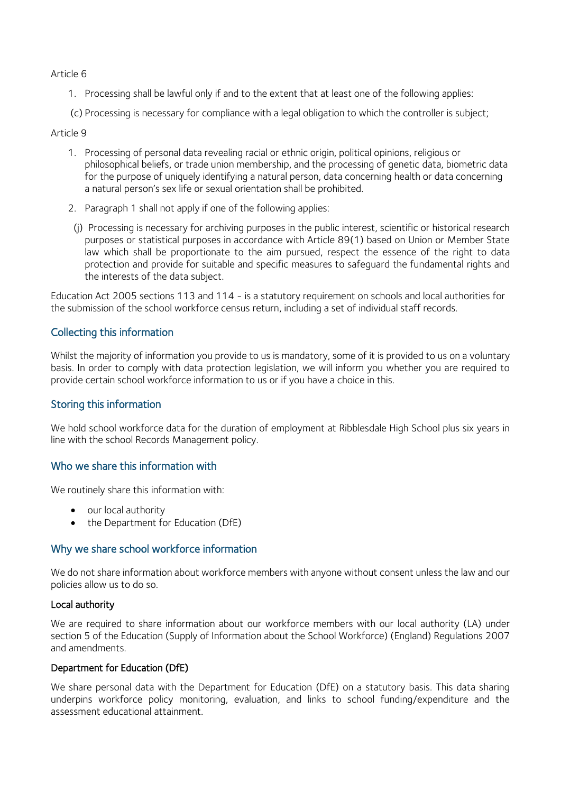Article 6

- 1. Processing shall be lawful only if and to the extent that at least one of the following applies:
- (c) Processing is necessary for compliance with a legal obligation to which the controller is subject;

#### Article 9

- 1. Processing of personal data revealing racial or ethnic origin, political opinions, religious or philosophical beliefs, or trade union membership, and the processing of genetic data, biometric data for the purpose of uniquely identifying a natural person, data concerning health or data concerning a natural person's sex life or sexual orientation shall be prohibited.
- 2. Paragraph 1 shall not apply if one of the following applies:
- (j) Processing is necessary for archiving purposes in the public interest, scientific or historical research purposes or statistical purposes in accordance with Article 89(1) based on Union or Member State law which shall be proportionate to the aim pursued, respect the essence of the right to data protection and provide for suitable and specific measures to safeguard the fundamental rights and the interests of the data subject.

Education Act 2005 sections 113 and 114 - is a statutory requirement on schools and local authorities for the submission of the school workforce census return, including a set of individual staff records.

### Collecting this information

Whilst the majority of information you provide to us is mandatory, some of it is provided to us on a voluntary basis. In order to comply with data protection legislation, we will inform you whether you are required to provide certain school workforce information to us or if you have a choice in this.

#### Storing this information

We hold school workforce data for the duration of employment at Ribblesdale High School plus six years in line with the school Records Management policy.

#### Who we share this information with

We routinely share this information with:

- our local authority
- the Department for Education (DfE)

#### Why we share school workforce information

We do not share information about workforce members with anyone without consent unless the law and our policies allow us to do so.

#### Local authority

We are required to share information about our workforce members with our local authority (LA) under section 5 of the Education (Supply of Information about the School Workforce) (England) Regulations 2007 and amendments.

#### Department for Education (DfE)

We share personal data with the Department for Education (DfE) on a statutory basis. This data sharing underpins workforce policy monitoring, evaluation, and links to school funding/expenditure and the assessment educational attainment.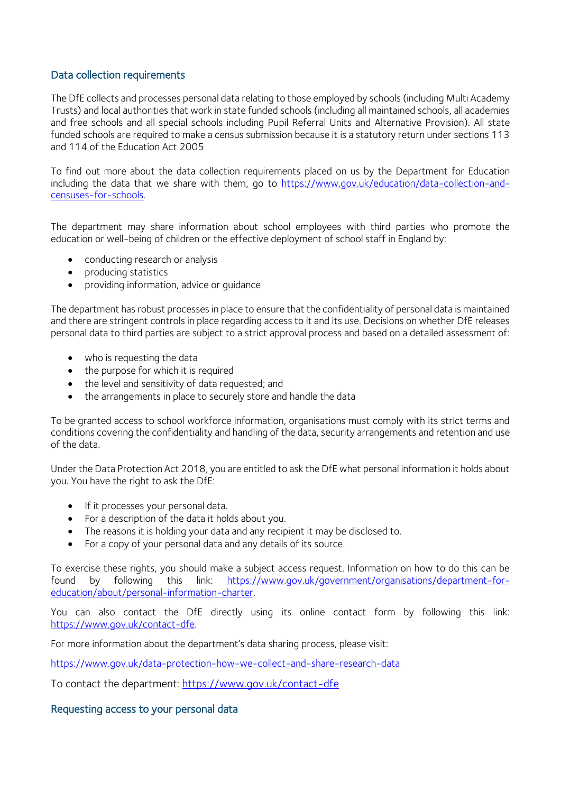## Data collection requirements

The DfE collects and processes personal data relating to those employed by schools (including Multi Academy Trusts) and local authorities that work in state funded schools (including all maintained schools, all academies and free schools and all special schools including Pupil Referral Units and Alternative Provision). All state funded schools are required to make a census submission because it is a statutory return under sections 113 and 114 of the Education Act 2005

To find out more about the data collection requirements placed on us by the Department for Education including the data that we share with them, go to [https://www.gov.uk/education/data-collection-and](https://www.gov.uk/education/data-collection-and-censuses-for-schools)[censuses-for-schools.](https://www.gov.uk/education/data-collection-and-censuses-for-schools)

The department may share information about school employees with third parties who promote the education or well-being of children or the effective deployment of school staff in England by:

- conducting research or analysis
- producing statistics
- providing information, advice or guidance

The department has robust processes in place to ensure that the confidentiality of personal data is maintained and there are stringent controls in place regarding access to it and its use. Decisions on whether DfE releases personal data to third parties are subject to a strict approval process and based on a detailed assessment of:

- who is requesting the data
- the purpose for which it is required
- the level and sensitivity of data requested; and
- the arrangements in place to securely store and handle the data

To be granted access to school workforce information, organisations must comply with its strict terms and conditions covering the confidentiality and handling of the data, security arrangements and retention and use of the data.

Under the Data Protection Act 2018, you are entitled to ask the DfE what personal information it holds about you. You have the right to ask the DfE:

- If it processes your personal data.
- For a description of the data it holds about you.
- The reasons it is holding your data and any recipient it may be disclosed to.
- For a copy of your personal data and any details of its source.

To exercise these rights, you should make a subject access request. Information on how to do this can be found by following this link: [https://www.gov.uk/government/organisations/department-for](https://www.gov.uk/government/organisations/department-for-education/about/personal-information-charter)[education/about/personal-information-charter.](https://www.gov.uk/government/organisations/department-for-education/about/personal-information-charter)

You can also contact the DfE directly using its online contact form by following this link: [https://www.gov.uk/contact-dfe.](https://www.gov.uk/contact-dfe)

For more information about the department's data sharing process, please visit:

<https://www.gov.uk/data-protection-how-we-collect-and-share-research-data>

To contact the department:<https://www.gov.uk/contact-dfe>

#### Requesting access to your personal data